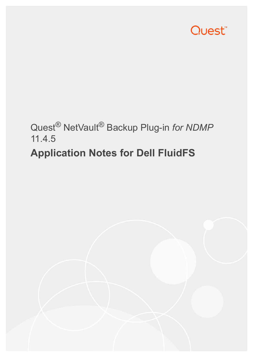

# Quest® NetVault® Backup Plug-in *for NDMP* 11.4.5 **Application Notes for Dell FluidFS**

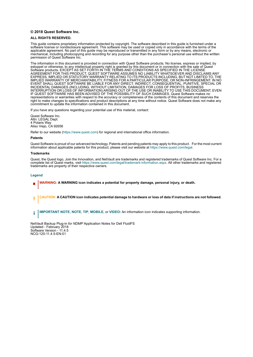#### **© 2018 Quest Software Inc.**

#### **ALL RIGHTS RESERVED.**

This guide contains proprietary information protected by copyright. The software described in this guide is furnished under a software license or nondisclosure agreement. This software may be used or copied only in accordance with the terms of the applicable agreement. No part of this guide may be reproduced or transmitted in any form or by any means, electronic or mechanical, including photocopying and recording for any purpose other than the purchaser's personal use without the written permission of Quest Software Inc.

The information in this document is provided in connection with Quest Software products. No license, express or implied, by estoppel or otherwise, to any intellectual property right is granted by this document or in connection with the sale of Quest<br>Software products. EXCEPT AS SET FORTH IN THE TERMS AND CONDITIONS AS SPECIFIED IN THE LICENSE<br>A EXPRESS, IMPLIED OR STATUTORY WARRANTY RELATING TO ITS PRODUCTS INCLUDING, BUT NOT LIMITED TO, THE IMPLIED WARRANTY OF MERCHANTABILITY, FITNESS FOR A PARTICULAR PURPOSE, OR NON-INFRINGEMENT. IN NO EVENT SHALL QUEST SOFTWARE BE LIABLE FOR ANY DIRECT, INDIRECT, CONSEQUENTIAL, PUNITIVE, SPECIAL OR INCIDENTAL DAMAGES (INCLUDING, WITHOUT LIMITATION, DAMAGES FOR LOSS OF PROFITS, BUSINESS<br>INTERRUPTION OR LOSS OF INFORMATION) ARISING OUT OF THE USE OR INABILITY TO USE THIS DOCUMENT, EVEN IF QUEST SOFTWARE HAS BEEN ADVISED OF THE POSSIBILITY OF SUCH DAMAGES. Quest Software makes no representations or warranties with respect to the accuracy or completeness of the contents of this document and reserves the right to make changes to specifications and product descriptions at any time without notice. Quest Software does not make any commitment to update the information contained in this document.

If you have any questions regarding your potential use of this material, contact:

Quest Software Inc. Attn: LEGAL Dept. 4 Polaris Way Aliso Viejo, CA 92656

Refer to our website [\(https://www.quest.com](https://www.quest.com)) for regional and international office information.

#### **Patents**

Quest Software is proud of our advanced technology. Patents and pending patents may apply to this product. For the most current information about applicable patents for this product, please visit our website at [https://www.quest.com/legal.](https://www.quest.com/legal)

#### **Trademarks**

Quest, the Quest logo, Join the Innovation, and NetVault are trademarks and registered trademarks of Quest Software Inc. For a complete list of Quest marks, visit [https://www.quest.com/legal/trademark-information.aspx.](https://www.quest.com/legal/trademark-information.aspx) All other trademarks and registered trademarks are property of their respective owners.

#### **Legend**

- **WARNING: A WARNING icon indicates a potential for property damage, personal injury, or death.**
- **CAUTION: A CAUTION icon indicates potential damage to hardware or loss of data if instructions are not followed.** Ţ
- **IMPORTANT NOTE**, **NOTE**, **TIP**, **MOBILE**, or **VIDEO:** An information icon indicates supporting information.f.

NetVault Backup Plug-in *for NDMP* Application Notes for Dell FluidFS Updated - February 2018 Software Version - 11.4.5 NCG-120-11.4.5-EN-01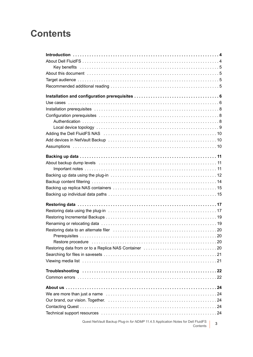### **Contents**

| Quest NetVault Backup Plug-in for NDMP 11.4.5 Application Notes for Dell FluidFS<br>Contents | 3 |
|----------------------------------------------------------------------------------------------|---|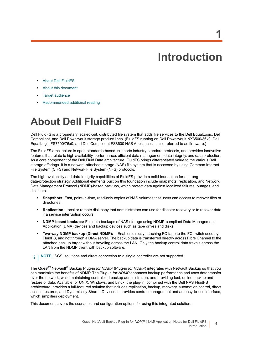# **Introduction**

**1**

- <span id="page-3-0"></span>**•** [About Dell FluidFS](#page-3-1)
- **•** [About this document](#page-4-1)
- **•** [Target audience](#page-4-2)
- **•** [Recommended additional reading](#page-4-3)

## <span id="page-3-1"></span>**About Dell FluidFS**

Dell FluidFS is a proprietary, scaled-out, distributed file system that adds file services to the Dell EqualLogic, Dell Compellent, and Dell PowerVault storage product lines. (FluidFS running on Dell PowerVault NX3500/36x0, Dell EqualLogic FS7500/76x0, and Dell Compellent FS8600 NAS Appliances is also referred to as firmware.)

The FluidFS architecture is open-standards-based, supports industry-standard protocols, and provides innovative features that relate to high availability, performance, efficient data management, data integrity, and data protection. As a core component of the Dell Fluid Data architecture, FluidFS brings differentiated value to the various Dell storage offerings. It is a network-attached storage (NAS) file system that is accessed by using Common Internet File System (CIFS) and Network File System (NFS) protocols.

The high-availability and data-integrity capabilities of FluidFS provide a solid foundation for a strong data-protection strategy. Additional elements built on this foundation include snapshots, replication, and Network Data Management Protocol (NDMP)-based backups, which protect data against localized failures, outages, and disasters.

- **Snapshots:** Fast, point-in-time, read-only copies of NAS volumes that users can access to recover files or directories.
- **Replication:** Local or remote disk copy that administrators can use for disaster recovery or to recover data if a service interruption occurs.
- **NDMP-based backups:** Full data backups of NAS storage using NDMP-compliant Data Management Application (DMA) devices and backup devices such as tape drives and disks.
- **Two-way NDMP backup (Direct NDMP):** Enables directly attaching FC tape to the FC switch used by FluidFS, and not through a DMA server. The backup data is transferred directly across Fibre Channel to the attached backup target without traveling across the LAN. Only the backup control data travels across the LAN from the NDMP client with backup software.
- **i** | NOTE: iSCSI solutions and direct connection to a single controller are not supported.

The Quest® NetVault® Backup Plug-in *for NDMP* (Plug-in *for NDMP*) integrates with NetVault Backup so that you can maximize the benefits of NDMP. The Plug-in *for NDMP* enhances backup performance and uses data transfer over the network, while maintaining centralized backup administration, and providing fast, online backup and restore of data. Available for UNIX, Windows, and Linux, the plug-in, combined with the Dell NAS FluidFS architecture, provides a full-featured solution that includes replication, backup, recovery, automation control, direct access restores, and Dynamically Shared Devices. It provides central management and an easy-to-use interface, which simplifies deployment.

This document covers the scenarios and configuration options for using this integrated solution.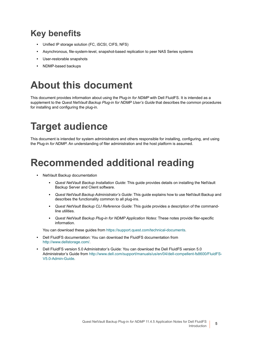### <span id="page-4-0"></span>**Key benefits**

- **•** Unified IP storage solution (FC, iSCSI, CIFS, NFS)
- **•** Asynchronous, file-system-level, snapshot-based replication to peer NAS Series systems
- **•** User-restorable snapshots
- **•** NDMP-based backups

## <span id="page-4-1"></span>**About this document**

This document provides information about using the Plug-in *for NDMP* with Dell FluidFS. It is intended as a supplement to the *Quest NetVault Backup Plug-in for NDMP User's Guide* that describes the common procedures for installing and configuring the plug-in.

# <span id="page-4-2"></span>**Target audience**

This document is intended for system administrators and others responsible for installing, configuring, and using the Plug-in *for NDMP*. An understanding of filer administration and the host platform is assumed.

## <span id="page-4-3"></span>**Recommended additional reading**

- **•** NetVault Backup documentation
	- **▪** *Quest NetVault Backup Installation Guide*: This guide provides details on installing the NetVault Backup Server and Client software.
	- **▪** *Quest NetVault Backup Administrator's Guide*: This guide explains how to use NetVault Backup and describes the functionality common to all plug-ins.
	- **▪** *Quest NetVault Backup CLI Reference Guide*: This guide provides a description of the commandline utilities.
	- **▪** *Quest NetVault Backup Plug-in for NDMP Application Notes:* These notes provide filer-specific information.

You can download these guides from<https://support.quest.com/technical-documents>.

- **•** Dell FluidFS documentation: You can download the FluidFS documentation from [http://www.dellstorage.com/.](http://www.dellstorage.com/)
- **•** Dell FluidFS version 5.0 Administrator's Guide: You can download the Dell FluidFS version 5.0 Administrator's Guide from [http://www.dell.com/support/manuals/us/en/04/dell-compellent-fs8600/FluidFS-](http://www.dell.com/support/manuals/us/en/04/dell-compellent-fs8600/FluidFS-V5.0-Admin-Guide)[V5.0-Admin-Guide.](http://www.dell.com/support/manuals/us/en/04/dell-compellent-fs8600/FluidFS-V5.0-Admin-Guide)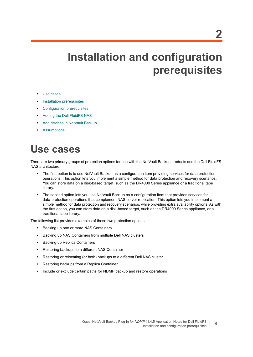**6**

# <span id="page-5-0"></span>**Installation and configuration prerequisites**

- **•** [Use cases](#page-5-1)
- **•** [Installation prerequisites](#page-7-0)
- **•** [Configuration prerequisites](#page-7-1)
- **•** [Adding the Dell FluidFS NAS](#page-9-0)
- **•** [Add devices in NetVault Backup](#page-9-1)
- **•** [Assumptions](#page-9-2)

## <span id="page-5-1"></span>**Use cases**

There are two primary groups of protection options for use with the NetVault Backup products and the Dell FluidFS NAS architecture:

- **•** The first option is to use NetVault Backup as a configuration item providing services for data protection operations. This option lets you implement a simple method for data protection and recovery scenarios. You can store data on a disk-based target, such as the DR4000 Series appliance or a traditional tape library.
- **•** The second option lets you use NetVault Backup as a configuration item that provides services for data-protection operations that complement NAS server replication. This option lets you implement a simple method for data protection and recovery scenarios, while providing extra availability options. As with the first option, you can store data on a disk-based target, such as the DR4000 Series appliance, or a traditional tape library.

The following list provides examples of these two protection options:

- **•** Backing up one or more NAS Containers
- **•** Backing up NAS Containers from multiple Dell NAS clusters
- **•** Backing up Replica Containers
- **•** Restoring backups to a different NAS Container
- **•** Restoring or relocating (or both) backups to a different Dell NAS cluster
- **•** Restoring backups from a Replica Container
- **•** Include or exclude certain paths for NDMP backup and restore operations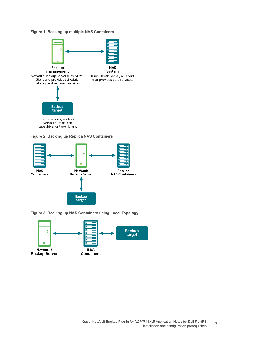### **Figure 1. Backing up multiple NAS Containers**







**Figure 3. Backing up NAS Containers using Local Topology**

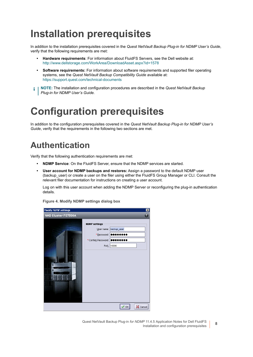## <span id="page-7-0"></span>**Installation prerequisites**

In addition to the installation prerequisites covered in the *Quest NetVault Backup Plug-in for NDMP User's Guide*, verify that the following requirements are met:

- **Hardware requirements**: For information about FluidFS Servers, see the Dell website at: <http://www.dellstorage.com/WorkArea/DownloadAsset.aspx?id=1578>
- **Software requirements:** For information about software requirements and supported filer operating systems, see the *Quest NetVault Backup Compatibility Guide* available at: <https://support.quest.com/technical-documents>
- **NOTE:** The installation and configuration procedures are described in the *Quest NetVault Backup Plug-in for NDMP User's Guide.*

## <span id="page-7-1"></span>**Configuration prerequisites**

In addition to the configuration prerequisites covered in the *Quest NetVault Backup Plug-in for NDMP User's Guide*, verify that the requirements in the following two sections are met.

### <span id="page-7-2"></span>**Authentication**

Verify that the following authentication requirements are met:

- **NDMP Service**: On the FluidFS Server, ensure that the NDMP services are started.
- **User account for NDMP backups and restores:** Assign a password to the default NDMP user (backup user) or create a user on the filer using either the FluidFS Group Manager or CLI. Consult the relevant filer documentation for instructions on creating a user account.

Log on with this user account when adding the NDMP Server or reconfiguring the plug-in authentication details.

**Figure 4. Modify NDMP settings dialog box**

| Modify NDMP settings |                                                                     |                                          | ⊠        |
|----------------------|---------------------------------------------------------------------|------------------------------------------|----------|
| NAS Cluster FS7500A  |                                                                     |                                          | 0        |
|                      | <b>NDMP</b> settings<br>* Password:<br>* Confirm Password:<br>Port: | User name: backup_user<br>Υ<br><br>10000 |          |
|                      |                                                                     |                                          |          |
|                      |                                                                     | OK                                       | X Cancel |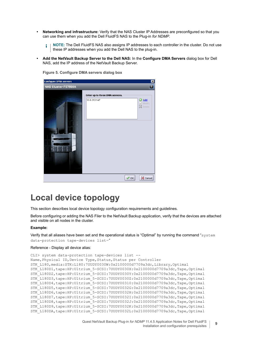**• Networking and infrastructure:** Verify that the NAS Cluster IP Addresses are preconfigured so that you can use them when you add the Dell FluidFS NAS to the Plug-in *for NDMP*.

**NOTE:** The Dell FluidFS NAS also assigns IP addresses to each controller in the cluster. Do not use î these IP addresses when you add the Dell NAS to the plug-in.

**• Add the NetVault Backup Server to the Dell NAS:** In the **Configure DMA Servers** dialog box for Dell NAS, add the IP address of the NetVault Backup Server.

**Figure 5. Configure DMA servers dialog box**

| <b>Configure DMA servers</b> |                                                | ⊠                                                  |
|------------------------------|------------------------------------------------|----------------------------------------------------|
| NAS Cluster FS7500A          |                                                |                                                    |
|                              | Enter up to three DMA servers.<br>10.8.212.147 | $\circledcirc$<br><b>Add</b><br>Modify<br>汉 Delete |
|                              | $\sqrt{a}$ OK                                  | $\boxtimes$ Cancel                                 |

### <span id="page-8-0"></span>**Local device topology**

This section describes local device topology configuration requirements and guidelines.

Before configuring or adding the NAS Filer to the NetVault Backup application, verify that the devices are attached and visible on all nodes in the cluster.

#### **Example:**

Verify that all aliases have been set and the operational status is "Optimal" by running the command "system data-protection tape-devices list–"

### Reference - Display all device alias:

```
CLI> system data-protection tape-devices list --
Name, Physical ID, Device Type, Status, Status per Controller
STK_L180,media:STK:L180:7UUDY0030W:0x2100000d7709a3dc,Library,Optimal
STK_L180D1,tape:HP:Ultrium_5-SCSI:7UUDY0030X:0x2100000d7709a3dc,Tape,Optimal
STK_L180D2,tape:HP:Ultrium_5-SCSI:7UUDY0030Y:0x2100000d7709a3dc,Tape,Optimal
STK_L180D3,tape:HP:Ultrium_5-SCSI:7UUDY0030Z:0x2100000d7709a3dc,Tape,Optimal
STK_L180D4,tape:HP:Ultrium_5-SCSI:7UUDY00310:0x2100000d7709a3dc,Tape,Optimal
STK_L180D5,tape:HP:Ultrium_5-SCSI:7UUDY0032G:0x2100000d7709a3dc,Tape,Optimal
STK_L180D6,tape:HP:Ultrium_5-SCSI:7UUDY0032H:0x2100000d7709a3dc,Tape,Optimal
STK_L180D7,tape:HP:Ultrium_5-SCSI:7UUDY0032I:0x2100000d7709a3dc,Tape,Optimal
STK_L180D8,tape:HP:Ultrium_5-SCSI:7UUDY0032J:0x2100000d7709a3dc,Tape,Optimal
STK_L180D9,tape:HP:Ultrium_5-SCSI:7UUDY0032K:0x2100000d7709a3dc,Tape,Optimal
STK_L180DA,tape:HP:Ultrium_5-SCSI:7UUDY0032L:0x2100000d7709a3dc,Tape,Optimal
```
Quest NetVault Backup Plug-in *for NDMP* 11.4.5 Application Notes for Dell FluidFS Installation and configuration prerequisites **<sup>9</sup>**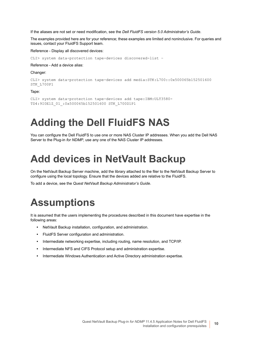If the aliases are not set or need modification, see the *Dell FluidFS version 5.0 Administrator's Guide*.

The examples provided here are for your reference; these examples are limited and noninclusive. For queries and issues, contact your FluidFS Support team.

Reference - Display all discovered devices:

CLI> system data-protection tape-devices discovered-list –

Reference - Add a device alias:

Changer:

```
CLI> system data-protection tape-devices add media:STK:L700::0x500065b152501600 
STK_L700P1
```
Tape:

```
CLI> system data-protection tape-devices add tape:IBM:ULT3580-
TD4:9I0E1Z_01_:0x500065b152501600 STK_L700D1P1
```
## <span id="page-9-0"></span>**Adding the Dell FluidFS NAS**

You can configure the Dell FluidFS to use one or more NAS Cluster IP addresses. When you add the Dell NAS Server to the Plug-in *for NDMP*, use any one of the NAS Cluster IP addresses.

## <span id="page-9-1"></span>**Add devices in NetVault Backup**

On the NetVault Backup Server machine, add the library attached to the filer to the NetVault Backup Server to configure using the local topology. Ensure that the devices added are relative to the FluidFS.

To add a device, see the *Quest NetVault Backup Administrator's Guide*.

## <span id="page-9-2"></span>**Assumptions**

It is assumed that the users implementing the procedures described in this document have expertise in the following areas:

- **•** NetVault Backup installation, configuration, and administration.
- **•** FluidFS Server configuration and administration.
- **•** Intermediate networking expertise, including routing, name resolution, and TCP/IP.
- **•** Intermediate NFS and CIFS Protocol setup and administration expertise.
- **•** Intermediate Windows Authentication and Active Directory administration expertise.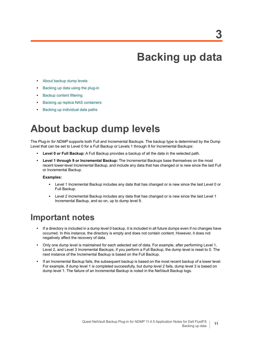## **Backing up data**

- <span id="page-10-0"></span>**•** [About backup dump levels](#page-10-1)
- **•** [Backing up data using the plug-in](#page-11-0)
- **•** [Backup content filtering](#page-13-0)
- **•** [Backing up replica NAS containers](#page-14-0)
- **•** [Backing up individual data paths](#page-14-1)

### <span id="page-10-1"></span>**About backup dump levels**

The Plug-in *for NDMP* supports both Full and Incremental Backups. The backup type is determined by the Dump Level that can be set to Level 0 for a Full Backup or Levels 1 through 9 for Incremental Backups:

- **Level 0 or Full Backup:** A Full Backup provides a backup of all the data in the selected path.
- **Level 1 through 9 or Incremental Backup:** The Incremental Backups base themselves on the most recent lower-level Incremental Backup, and include any data that has changed or is new since the last Full or Incremental Backup.

### **Examples:**

- **▪** Level 1 Incremental Backup includes any data that has changed or is new since the last Level 0 or Full Backup.
- **▪** Level 2 Incremental Backup includes any data that has changed or is new since the last Level 1 Incremental Backup, and so on, up to dump level 9.

### <span id="page-10-2"></span>**Important notes**

- **•** If a directory is included in a dump level 0 backup, it is included in all future dumps even if no changes have occurred. In this instance, the directory is empty and does not contain content. However, it does not negatively affect the recovery of data.
- **•** Only one dump level is maintained for each selected set of data. For example, after performing Level 1, Level 2, and Level 3 Incremental Backups, if you perform a Full Backup, the dump level is reset to 0. The next instance of the Incremental Backup is based on the Full Backup.
- **•** If an Incremental Backup fails, the subsequent backup is based on the most recent backup of a lower level. For example, if dump level 1 is completed successfully, but dump level 2 fails, dump level 3 is based on dump level 1. The failure of an Incremental Backup is noted in the NetVault Backup logs.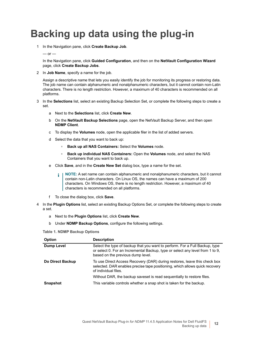## <span id="page-11-0"></span>**Backing up data using the plug-in**

<span id="page-11-1"></span>1 In the Navigation pane, click **Create Backup Job**.

#### $-$  or  $-$

In the Navigation pane, click **Guided Configuration**, and then on the **NetVault Configuration Wizard** page, click **Create Backup Jobs**.

2 In **Job Name**, specify a name for the job.

Assign a descriptive name that lets you easily identify the job for monitoring its progress or restoring data. The job name can contain alphanumeric and nonalphanumeric characters, but it cannot contain non-Latin characters. There is no length restriction. However, a maximum of 40 characters is recommended on all platforms.

- <span id="page-11-2"></span>3 In the **Selections** list, select an existing Backup Selection Set, or complete the following steps to create a set.
	- a Next to the **Selections** list, click **Create New**.
	- b On the **NetVault Backup Selections** page, open the NetVault Backup Server, and then open **NDMP Client**.
	- c To display the **Volumes** node, open the applicable filer in the list of added servers.
	- d Select the data that you want to back up:
		- **▫ Back up all NAS Containers:** Select the **Volumes** node.
		- **▫ Back up individual NAS Containers:** Open the **Volumes** node, and select the NAS Containers that you want to back up.
	- e Click **Save**, and in the **Create New Set** dialog box, type a name for the set.
		- **NOTE:** A set name can contain alphanumeric and nonalphanumeric characters, but it cannot ÷ contain non-Latin characters. On Linux OS, the names can have a maximum of 200 characters. On Windows OS, there is no length restriction. However, a maximum of 40 characters is recommended on all platforms.
	- f To close the dialog box, click **Save**.
- 4 In the **Plugin Options** list, select an existing Backup Options Set, or complete the following steps to create a set.
	- a Next to the **Plugin Options** list, click **Create New**.
	- b Under **NDMP Backup Options**, configure the following settings.

<span id="page-11-3"></span>**Table 1. NDMP Backup Options**

| <b>Option</b>     | <b>Description</b>                                                                                                                                                                                |
|-------------------|---------------------------------------------------------------------------------------------------------------------------------------------------------------------------------------------------|
| <b>Dump Level</b> | Select the type of backup that you want to perform. For a Full Backup, type<br>or select 0. For an Incremental Backup, type or select any level from 1 to 9,<br>based on the previous dump level. |
| Do Direct Backup  | To use Direct Access Recovery (DAR) during restores, leave this check box<br>selected. DAR enables precise tape positioning, which allows quick recovery<br>of individual files.                  |
|                   | Without DAR, the backup saveset is read sequentially to restore files.                                                                                                                            |
| <b>Snapshot</b>   | This variable controls whether a snap shot is taken for the backup.                                                                                                                               |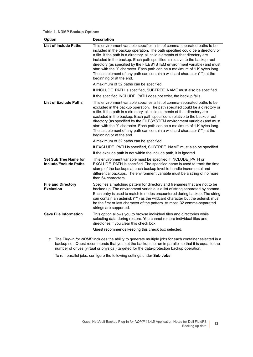### **Table 1. NDMP Backup Options**

| Option                                                | <b>Description</b>                                                                                                                                                                                                                                                                                                                                                                                                                                                                                                                                                                           |
|-------------------------------------------------------|----------------------------------------------------------------------------------------------------------------------------------------------------------------------------------------------------------------------------------------------------------------------------------------------------------------------------------------------------------------------------------------------------------------------------------------------------------------------------------------------------------------------------------------------------------------------------------------------|
| <b>List of Include Paths</b>                          | This environment variable specifies a list of comma-separated paths to be<br>included in the backup operation. The path specified could be a directory or<br>a file. If the path is a directory, all child elements of that directory are<br>included in the backup. Each path specified is relative to the backup root<br>directory (as specified by the FILESYSTEM environment variable) and must<br>start with the "/" character. Each path can be a maximum of 1 K bytes long.<br>The last element of any path can contain a wildcard character ("*") at the<br>beginning or at the end. |
|                                                       | A maximum of 32 paths can be specified.                                                                                                                                                                                                                                                                                                                                                                                                                                                                                                                                                      |
|                                                       | If INCLUDE PATH is specified, SUBTREE NAME must also be specified.<br>If the specified INCLUDE PATH does not exist, the backup fails.                                                                                                                                                                                                                                                                                                                                                                                                                                                        |
| <b>List of Exclude Paths</b>                          | This environment variable specifies a list of comma-separated paths to be<br>excluded in the backup operation. The path specified could be a directory or<br>a file. If the path is a directory, all child elements of that directory are<br>excluded in the backup. Each path specified is relative to the backup root<br>directory (as specified by the FILESYSTEM environment variable) and must<br>start with the "/" character. Each path can be a maximum of 1 K bytes long.<br>The last element of any path can contain a wildcard character ("*") at the<br>beginning or at the end. |
|                                                       | A maximum of 32 paths can be specified.                                                                                                                                                                                                                                                                                                                                                                                                                                                                                                                                                      |
|                                                       | If EXCLUDE_PATH is specified, SUBTREE_NAME must also be specified.                                                                                                                                                                                                                                                                                                                                                                                                                                                                                                                           |
|                                                       | If the exclude path is not within the include path, it is ignored.                                                                                                                                                                                                                                                                                                                                                                                                                                                                                                                           |
| <b>Set Sub Tree Name for</b><br>Include/Exclude Paths | This environment variable must be specified if INCLUDE_PATH or<br>EXCLUDE_PATH is specified. The specified name is used to track the time<br>stamp of the backups at each backup level to handle incremental and<br>differential backups. The environment variable must be a string of no more<br>than 64 characters.                                                                                                                                                                                                                                                                        |
| <b>File and Directory</b><br><b>Exclusion</b>         | Specifies a matching pattern for directory and filenames that are not to be<br>backed up. The environment variable is a list of string separated by comma.<br>Each entry is used to match to nodes encountered during backup. The string<br>can contain an asterisk ("*") as the wildcard character but the asterisk must<br>be the first or last character of the pattern. At most, 32 comma-separated<br>strings are supported.                                                                                                                                                            |
| <b>Save File Information</b>                          | This option allows you to browse individual files and directories while<br>selecting data during restore. You cannot restore individual files and<br>directories if you clear this check box.                                                                                                                                                                                                                                                                                                                                                                                                |
|                                                       | Quest recommends keeping this check box selected.                                                                                                                                                                                                                                                                                                                                                                                                                                                                                                                                            |

c The Plug-in *for NDMP* includes the ability to generate multiple jobs for each container selected in a backup set. Quest recommends that you set the backups to run in parallel so that it is equal to the number of drives (virtual or physical) targeted for the data-protection backup operation.

To run parallel jobs, configure the following settings under **Sub Jobs**.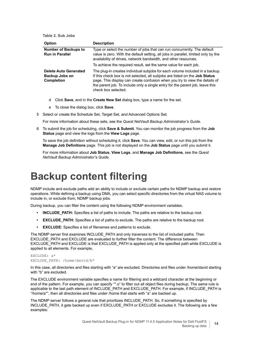<span id="page-13-1"></span>**Table 2. Sub Jobs**

| <b>Option</b>                                                                   | <b>Description</b>                                                                                                                                                                                                                                                                                                                                        |  |
|---------------------------------------------------------------------------------|-----------------------------------------------------------------------------------------------------------------------------------------------------------------------------------------------------------------------------------------------------------------------------------------------------------------------------------------------------------|--|
| <b>Number of Backups to</b><br><b>Run in Parallel</b>                           | Type or select the number of jobs that can run concurrently. The default<br>value is zero. With the default setting, all jobs in parallel, limited only by the<br>availability of drives, network bandwidth, and other resources.                                                                                                                         |  |
|                                                                                 | To achieve the required result, set the same value for each job.                                                                                                                                                                                                                                                                                          |  |
| <b>Delete Auto Generated</b><br>Backup Jobs on<br><b>Completion</b>             | The plug-in creates individual subjobs for each volume included in a backup.<br>If this check box is not selected, all subjobs are listed on the <b>Job Status</b><br>page. This display can create confusion when you try to view the details of<br>the parent job. To include only a single entry for the parent job, leave this<br>check box selected. |  |
| Click Save, and in the Create New Set dialog box, type a name for the set.<br>d |                                                                                                                                                                                                                                                                                                                                                           |  |

- e To close the dialog box, click **Save**.
- <span id="page-13-2"></span>5 Select or create the Schedule Set, Target Set, and Advanced Options Set.

For more information about these sets, see the *Quest NetVault Backup Administrator's Guide*.

<span id="page-13-3"></span>6 To submit the job for scheduling, click **Save & Submit**. You can monitor the job progress from the **Job Status** page and view the logs from the **View Logs** page.

To save the job definition without scheduling it, click **Save**. You can view, edit, or run this job from the **Manage Job Definitions** page. This job is not displayed on the **Job Status** page until you submit it.

For more information about **Job Status**, **View Logs**, and **Manage Job Definitions**, see the *Quest NetVault Backup Administrator's Guide*.

### <span id="page-13-0"></span>**Backup content filtering**

NDMP include and exclude paths add an ability to include or exclude certain paths for NDMP backup and restore operations. While defining a backup using DMA, you can select specific directories from the virtual NAS volume to include in, or exclude from, NDMP backup jobs.

During backup, you can filter the content using the following NDMP environment variables.

- **INCLUDE PATH:** Specifies a list of paths to include. The paths are relative to the backup root.
- **EXCLUDE PATH:** Specifies a list of paths to exclude. The paths are relative to the backup root.
- **EXCLUDE:** Specifies a list of filenames and patterns to exclude.

The NDMP server first examines INCLUDE\_PATH and only traverses to the list of included paths. Then EXCLUDE\_PATH and EXCLUDE are evaluated to further filter the content. The difference between EXCLUDE\_PATH and EXCLUDE is that EXCLUDE\_PATH is applied only at the specified path while EXCLUDE is applied to all elements. For example,

### EXCLUDE: a\* EXCLUDE\_PATH: /home/david/b\*

In this case, all directories and files starting with "a" are excluded. Directories and files under /home/david starting with "b" are excluded.

The EXCLUDE environment variable specifies a name for filtering and a wildcard character at the beginning or end of the pattern. For example, you can specify "\*.o" to filter out all object files during backup. The same rule is applicable to the last path element of INCLUDE\_PATH and EXCLUDE\_PATH. For example, if INCLUDE\_PATH is "/home/a\*", then all directories and files under /home that starts with "a" are backed up.

The NDMP server follows a general rule that prioritizes INCLUDE\_PATH. So, if something is specified by INCLUDE\_PATH, it gets backed up even if EXCLUDE\_PATH or EXCLUDE excludes it. The following are a few examples: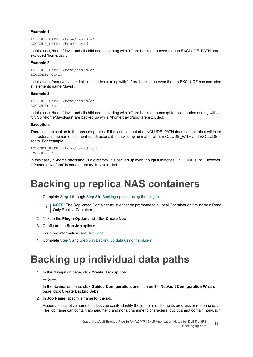### **Example 1**

```
INLCUDE_PATH: /home/david/a*
EXCLUDE_PATH: /home/david
```
In this case, /home/david and all child nodes starting with "a" are backed up even though EXCLUDE\_PATH has excluded /home/david.

#### **Example 2**

```
INLCUDE_PATH: /home/david/a*
EXCLUDE: david
```
In this case, /home/david and all child nodes starting with "a" are backed up even though EXCLUDE has excluded all elements name "david".

#### **Example 3**

```
INLCUDE_PATH: /home/david/a*
EXCLUDE: *c
```
In this case, /home/david and all child nodes starting with "a" are backed up except for child nodes ending with a "c". So "/home/david/aaa" are backed up while "/home/david/abc" are excluded.

#### **Exception**:

There is an exception to the preceding rules. If the last element of a INCLUDE\_PATH does not contain a wildcard character and the named element is a directory, it is backed up no matter what EXCLUDE\_PATH and EXCLUDE is set to. For example,

```
INLCUDE_PATH: /home/david/abc
EXCLUDE: *c
```
In this case, if "/home/david/abc" is a directory, it is backed up even though it matches EXCLUDE's "\*c". However, if "/home/david/abc" is not a directory, it is excluded.

### <span id="page-14-0"></span>**Backing up replica NAS containers**

1 Complete [Step 1](#page-11-1) through [Step 3](#page-11-2) in [Backing up data using the plug-in](#page-11-0).

**NOTE:** The Replicated Container must either be promoted to a Local Container or it must be a Readi. Only Replica Container.

- 2 Next to the **Plugin Options** list, click **Create New**.
- 3 Configure the **Sub Job** options.

For more information, see [Sub Jobs.](#page-13-1)

4 Complete [Step 5](#page-13-2) and [Step 6](#page-13-3) in [Backing up data using the plug-in.](#page-11-0)

### <span id="page-14-1"></span>**Backing up individual data paths**

1 In the Navigation pane, click **Create Backup Job**.

 $-$  or  $-$ 

In the Navigation pane, click **Guided Configuration**, and then on the **NetVault Configuration Wizard** page, click **Create Backup Jobs**.

2 In **Job Name**, specify a name for the job.

Assign a descriptive name that lets you easily identify the job for monitoring its progress or restoring data. The job name can contain alphanumeric and nonalphanumeric characters, but it cannot contain non-Latin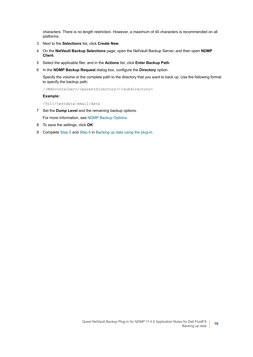characters. There is no length restriction. However, a maximum of 40 characters is recommended on all platforms.

- 3 Next to the **Selections** list, click **Create New**.
- 4 On the **NetVault Backup Selections** page, open the NetVault Backup Server, and then open **NDMP Client**.
- 5 Select the applicable filer, and in the **Actions** list, click **Enter Backup Path**.
- 6 In the **NDMP Backup Request** dialog box, configure the **Directory** option.

Specify the volume or the complete path to the directory that you want to back up. Use the following format to specify the backup path:

/*<NAScontainer>*/*<parentDirectory>*/*<subdirectory>*

### **Example:**

/Vol1/testdata/small/data

- 7 Set the **Dump Level** and the remaining backup options.
- For more information, see [NDMP Backup Options](#page-11-3).
- 8 To save the settings, click **OK**.
- 9 Complete [Step 5](#page-13-2) and [Step 6](#page-13-3) in [Backing up data using the plug-in.](#page-11-0)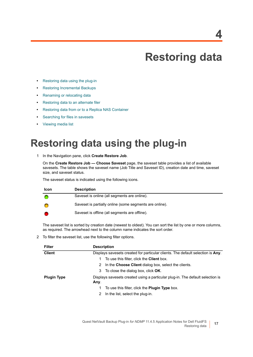## **Restoring data**

- <span id="page-16-0"></span>**•** [Restoring data using the plug-in](#page-16-1)
- **•** [Restoring Incremental Backups](#page-18-0)
- **•** [Renaming or relocating data](#page-18-1)
- **•** [Restoring data to an alternate filer](#page-19-0)
- **•** [Restoring data from or to a Replica NAS Container](#page-19-3)
- **•** [Searching for files in savesets](#page-20-0)
- **•** [Viewing media list](#page-20-1)

## <span id="page-16-1"></span>**Restoring data using the plug-in**

<span id="page-16-2"></span>1 In the Navigation pane, click **Create Restore Job**.

On the **Create Restore Job — Choose Saveset** page, the saveset table provides a list of available savesets. The table shows the saveset name (Job Title and Saveset ID), creation date and time, saveset size, and saveset status.

The saveset status is indicated using the following icons.

| <b>Icon</b> | <b>Description</b>                                      |
|-------------|---------------------------------------------------------|
|             | Saveset is online (all segments are online).            |
|             | Saveset is partially online (some segments are online). |
|             | Saveset is offline (all segments are offline).          |

The saveset list is sorted by creation date (newest to oldest). You can sort the list by one or more columns, as required. The arrowhead next to the column name indicates the sort order.

2 To filter the saveset list, use the following filter options.

| Filter             | <b>Description</b>                                                                     |  |  |
|--------------------|----------------------------------------------------------------------------------------|--|--|
| <b>Client</b>      | Displays savesets created for particular clients. The default selection is Any.        |  |  |
|                    | To use this filter, click the <b>Client</b> box.                                       |  |  |
|                    | In the Choose Client dialog box, select the clients.<br>2                              |  |  |
|                    | 3 To close the dialog box, click <b>OK</b> .                                           |  |  |
| <b>Plugin Type</b> | Displays savesets created using a particular plug-in. The default selection is<br>Any. |  |  |
|                    | To use this filter, click the <b>Plugin Type</b> box.                                  |  |  |
|                    | In the list, select the plug-in.<br>2                                                  |  |  |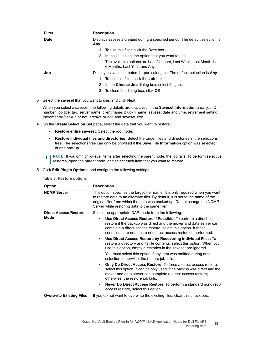| <b>Filter</b> | <b>Description</b>                                                                                    |
|---------------|-------------------------------------------------------------------------------------------------------|
| <b>Date</b>   | Displays savesets created during a specified period. The default selection is<br>Any.                 |
|               | To use this filter, click the <b>Date</b> box.                                                        |
|               | In the list, select the option that you want to use.<br>2                                             |
|               | The available options are Last 24 hours, Last Week, Last Month, Last<br>6 Months, Last Year, and Any. |
| Job           | Displays savesets created for particular jobs. The default selection is Any.                          |
|               | To use this filter, click the <b>Job</b> box.                                                         |
|               | In the Choose Job dialog box, select the jobs.<br>2                                                   |
|               | To close the dialog box, click <b>OK</b> .<br>3                                                       |

3 Select the saveset that you want to use, and click **Next**.

When you select a saveset, the following details are displayed in the **Saveset Information** area: job ID number, job title, tag, server name, client name, plug-in name, saveset date and time, retirement setting, Incremental Backup or not, archive or not, and saveset size.

- <span id="page-17-0"></span>4 On the **Create Selection Set** page, select the data that you want to restore:
	- **▪ Restore entire saveset**: Select the root node.
	- **▪ Restore individual files and directories:** Select the target files and directories in the selections tree. The selections tree can only be browsed if the **Save File Information** option was selected during backup.
	- **i** | NOTE: If you omit child-level items after selecting the parent node, the job fails. To perform selective restores, open the parent node, and select each item that you want to restore.
- <span id="page-17-2"></span><span id="page-17-1"></span>5 Click **Edit Plugin Options**, and configure the following settings.

| <b>Option</b>                   | <b>Description</b>                                                                                                                                                                                                                                                                              |
|---------------------------------|-------------------------------------------------------------------------------------------------------------------------------------------------------------------------------------------------------------------------------------------------------------------------------------------------|
| <b>NDMP Server</b>              | This option specifies the target filer name. It is only required when you want<br>to restore data to an alternate filer. By default, it is set to the name of the<br>original filer from which the data was backed up. Do not change the NDMP<br>Server while restoring data to the same filer. |
| <b>Direct Access Restore</b>    | Select the appropriate DAR mode from the following:                                                                                                                                                                                                                                             |
| <b>Mode</b>                     | Use Direct Access Restore if Possible: To perform a direct-access<br>$\bullet$<br>restore if the backup was direct and the mover and data server can<br>complete a direct-access restore, select this option. If these<br>conditions are not met, a nondirect access restore is performed.      |
|                                 | Use Direct Access Restore by Recovering Individual Files: To<br>٠<br>restore a directory and its file contents, select this option. When you<br>use this option, empty directories in the saveset are ignored.                                                                                  |
|                                 | You must select this option if any item was omitted during data<br>selection; otherwise, the restore job fails.                                                                                                                                                                                 |
|                                 | <b>Only Do Direct Access Restore:</b> To force a direct-access restore,<br>٠<br>select this option. It can be only used if the backup was direct and the<br>mover and data server can complete a direct-access restore;<br>otherwise, the restore job fails.                                    |
|                                 | Never Do Direct Access Restore: To perform a standard nondirect-<br>access restore, select this option.                                                                                                                                                                                         |
| <b>Overwrite Existing Files</b> | If you do not want to overwrite the existing files, clear this check box.                                                                                                                                                                                                                       |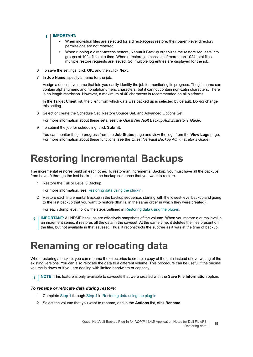#### **IMPORTANT:**  i

- **•** When individual files are selected for a direct-access restore, their parent-level directory permissions are not restored.
- **•** When running a direct-access restore, NetVault Backup organizes the restore requests into groups of 1024 files at a time. When a restore job consists of more than 1024 total files, multiple restore requests are issued. So, multiple log entries are displayed for the job.
- <span id="page-18-4"></span>6 To save the settings, click **OK**, and then click **Next**.
- 7 In **Job Name**, specify a name for the job.

Assign a descriptive name that lets you easily identify the job for monitoring its progress. The job name can contain alphanumeric and nonalphanumeric characters, but it cannot contain non-Latin characters. There is no length restriction. However, a maximum of 40 characters is recommended on all platforms

In the **Target Client** list, the client from which data was backed up is selected by default. Do *not* change this setting.

8 Select or create the Schedule Set, Restore Source Set, and Advanced Options Set.

For more information about these sets, see the *Quest NetVault Backup Administrator's Guide*.

<span id="page-18-2"></span>9 To submit the job for scheduling, click **Submit**.

You can monitor the job progress from the **Job Status** page and view the logs from the **View Logs** page. For more information about these functions, see the *Quest NetVault Backup Administrator's Guide*.

## <span id="page-18-0"></span>**Restoring Incremental Backups**

The incremental restores build on each other. To restore an Incremental Backup, you must have all the backups from Level-0 through the last backup in the backup sequence that you want to restore.

1 Restore the Full or Level 0 Backup.

For more information, see [Restoring data using the plug-in](#page-16-1).

2 Restore each Incremental Backup in the backup sequence, starting with the lowest-level backup and going to the last backup that you want to restore (that is, in the same order in which they were created).

For each dump level, follow the steps outlined in [Restoring data using the plug-in.](#page-16-1)

**IMPORTANT:** All NDMP backups are effectively snapshots of the volume. When you restore a dump level in f an increment series, it restores all the data in the saveset. At the same time, it deletes the files present on the filer, but not available in that saveset. Thus, it reconstructs the subtree as it was at the time of backup.

## <span id="page-18-1"></span>**Renaming or relocating data**

When restoring a backup, you can rename the directories to create a copy of the data instead of overwriting of the existing versions. You can also relocate the data to a different volume. This procedure can be useful if the original volume is down or if you are dealing with limited bandwidth or capacity.

**NOTE:** This feature is only available to savesets that were created with the **Save File Information** option. $\mathbf{i}$ 

### *To rename or relocate data during restore:*

- 1 Complete [Step 1](#page-16-2) through [Step 4](#page-17-0) in [Restoring data using the plug-in](#page-16-1)
- <span id="page-18-3"></span>2 Select the volume that you want to rename, and in the **Actions** list, click **Rename**.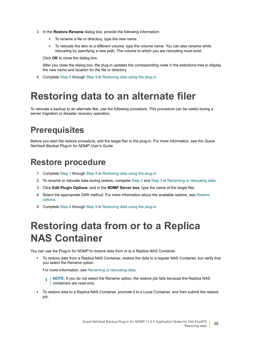- <span id="page-19-4"></span>3 In the **Restore Rename** dialog box, provide the following information:
	- **▪** To rename a file or directory, type the new name.
	- **▪** To relocate the item to a different volume, type the volume name. You can also rename while relocating by specifying a new path. The volume to which you are relocating must exist.

Click **OK** to close the dialog box.

After you close the dialog box, the plug-in updates the corresponding node in the selections tree to display the new name and location for the file or directory.

4 Complete [Step 5](#page-17-1) through [Step 9](#page-18-2) in [Restoring data using the plug-in](#page-16-1).

## <span id="page-19-0"></span>**Restoring data to an alternate filer**

To relocate a backup to an alternate filer, use the following procedure. This procedure can be useful during a server migration or disaster recovery operation.

### <span id="page-19-1"></span>**Prerequisites**

Before you start the restore procedure, add the target filer to the plug-in. For more information, see the *Quest NetVault Backup Plug-in for NDMP User's Guide*.

### <span id="page-19-2"></span>**Restore procedure**

- 1 Complete [Step 1](#page-16-2) through [Step 4](#page-17-0) in [Restoring data using the plug-in](#page-16-1).
- 2 To rename or relocate data during restore, complete [Step 2](#page-18-3) and [Step 3](#page-19-4) in [Renaming or relocating data.](#page-18-1)
- 3 Click **Edit Plugin Options**, and in the **NDMP Server box**, type the name of the target filer.
- 4 Select the appropriate DAR method. For more information about the available options, see [Restore](#page-17-2)  [options.](#page-17-2)
- 5 Complete [Step 6](#page-18-4) through [Step 9](#page-18-2) in [Restoring data using the plug-in](#page-16-1).

## <span id="page-19-3"></span>**Restoring data from or to a Replica NAS Container**

You can use the Plug-in *for NDMP* to restore data from or to a Replica NAS Container.

**•** To restore data from a Replica NAS Container, restore the data to a regular NAS Container, but verify that you select the Rename option.

For more information, see [Renaming or relocating data](#page-18-1).

**i** | NOTE: If you do not select the Rename option, the restore job fails because the Replica NAS containers are read-only.

**•** To restore data to a Replica NAS Container, promote it to a Local Container, and then submit the restore job.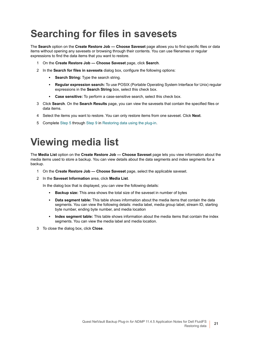# <span id="page-20-0"></span>**Searching for files in savesets**

The **Search** option on the **Create Restore Job — Choose Saveset** page allows you to find specific files or data items without opening any savesets or browsing through their contents. You can use filenames or regular expressions to find the data items that you want to restore.

- 1 On the **Create Restore Job Choose Saveset** page, click **Search**.
- 2 In the **Search for files in savesets** dialog box, configure the following options:
	- **Search String:** Type the search string.
	- **▪ Regular expression search:** To use POSIX (Portable Operating System Interface for Unix) regular expressions in the **Search String** box, select this check box.
	- **▪ Case sensitive:** To perform a case-sensitive search, select this check box.
- 3 Click **Search**. On the **Search Results** page, you can view the savesets that contain the specified files or data items.
- 4 Select the items you want to restore. You can only restore items from one saveset. Click **Next**.
- 5 Complete [Step 5](#page-17-1) through [Step 9](#page-18-2) in [Restoring data using the plug-in](#page-16-1).

## <span id="page-20-1"></span>**Viewing media list**

The **Media List** option on the **Create Restore Job — Choose Saveset** page lets you view information about the media items used to store a backup. You can view details about the data segments and index segments for a backup.

- 1 On the **Create Restore Job Choose Saveset** page, select the applicable saveset.
- 2 In the **Saveset Information** area, click **Media List**.

In the dialog box that is displayed, you can view the following details:

- **▪ Backup size:** This area shows the total size of the saveset in number of bytes
- **Data segment table:** This table shows information about the media items that contain the data segments. You can view the following details: media label, media group label, stream ID, starting byte number, ending byte number, and media location
- **Index segment table:** This table shows information about the media items that contain the index segments. You can view the media label and media location.
- 3 To close the dialog box, click **Close**.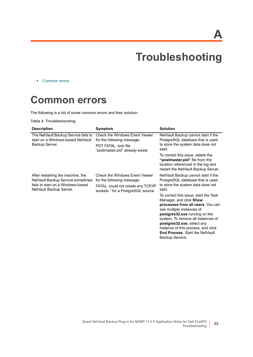**A**

# **Troubleshooting**

<span id="page-21-0"></span>**•** [Common errors](#page-21-1)

## <span id="page-21-1"></span>**Common errors**

The following is a list of some common errors and their solution.

**Table 4. Troubleshooting**

| <b>Description</b>                                                                                                                     | Symptom                                                                                                                                        | <b>Solution</b>                                                                                                                                                                                                                                                                                                                                                                                                                                                              |
|----------------------------------------------------------------------------------------------------------------------------------------|------------------------------------------------------------------------------------------------------------------------------------------------|------------------------------------------------------------------------------------------------------------------------------------------------------------------------------------------------------------------------------------------------------------------------------------------------------------------------------------------------------------------------------------------------------------------------------------------------------------------------------|
| The NetVault Backup Service fails to<br>start on a Windows-based NetVault<br>Backup Server.                                            | <b>Check the Windows Event Viewer</b><br>for the following message:<br><b>PDT FATAL: lock file</b><br>"postmaster.pid" already exists          | NetVault Backup cannot start if the<br>PostgreSQL database that is used<br>to store the system data does not<br>start.<br>To correct this issue, delete the<br>" <b>postmaster.pid</b> " file from the<br>location referenced in the log and                                                                                                                                                                                                                                 |
|                                                                                                                                        |                                                                                                                                                | restart the NetVault Backup Server.                                                                                                                                                                                                                                                                                                                                                                                                                                          |
| After restarting the machine, the<br>NetVault Backup Service sometimes<br>fails to start on a Windows-based<br>NetVault Backup Server. | <b>Check the Windows Event Viewer</b><br>for the following message:<br>FATAL: could not create any TCP/IP<br>sockets " for a PostgreSQL source | NetVault Backup cannot start if the<br>PostgreSQL database that is used<br>to store the system data does not<br>start.<br>To correct this issue, start the Task<br>Manager, and click <b>Show</b><br>processes from all users. You can<br>see multiple instances of<br>postgres32.exe running on the<br>system. To remove all instances of<br>postgres32.exe, select any<br>instance of this process, and click<br><b>End Process. Start the NetVault</b><br>Backup Service. |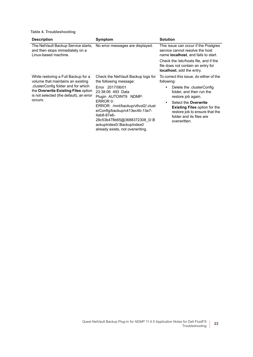**Table 4. Troubleshooting**

| <b>Description</b>                                                                                                                                                                                           | Symptom                                                                                                                                                                                                                                                         | <b>Solution</b>                                                                                                                            |
|--------------------------------------------------------------------------------------------------------------------------------------------------------------------------------------------------------------|-----------------------------------------------------------------------------------------------------------------------------------------------------------------------------------------------------------------------------------------------------------------|--------------------------------------------------------------------------------------------------------------------------------------------|
| The NetVault Backup Service starts,<br>and then stops immediately on a<br>Linux-based machine.                                                                                                               | No error messages are displayed.                                                                                                                                                                                                                                | This issue can occur if the Postgres<br>service cannot resolve the host<br>name <b>localhost</b> , and fails to start.                     |
|                                                                                                                                                                                                              |                                                                                                                                                                                                                                                                 | Check the /etc/hosts file, and if the<br>file does not contain an entry for<br>localhost, add the entry.                                   |
| While restoring a Full Backup for a<br>volume that maintains an existing<br>clusterConfig folder and for which.<br>the Overwrite Existing Files option<br>is not selected (the default), an error<br>occurs. | Check the NetVault Backup logs for<br>the following message:                                                                                                                                                                                                    | To correct this issue, do either of the<br>following:                                                                                      |
|                                                                                                                                                                                                              | Error 2017/06/01<br>23:38:06 493 Data<br>Plugin AUTOINT9 NDMP:<br>ERROR 0:<br>ERROR: /mnt/backup/v6vol2/.clust<br>erConfig/backup/c413ec4b-13e7-<br>4ab8-87e6-<br>28c53b478b65@3688372308 0/.B<br>ackupIndex0/.BackupIndex0<br>already exists, not overwriting. | Delete the .clusterConfig<br>$\bullet$<br>folder, and then run the<br>restore job again.                                                   |
|                                                                                                                                                                                                              |                                                                                                                                                                                                                                                                 | Select the Overwrite<br><b>Existing Files option for the</b><br>restore job to ensure that the<br>folder and its files are<br>overwritten. |